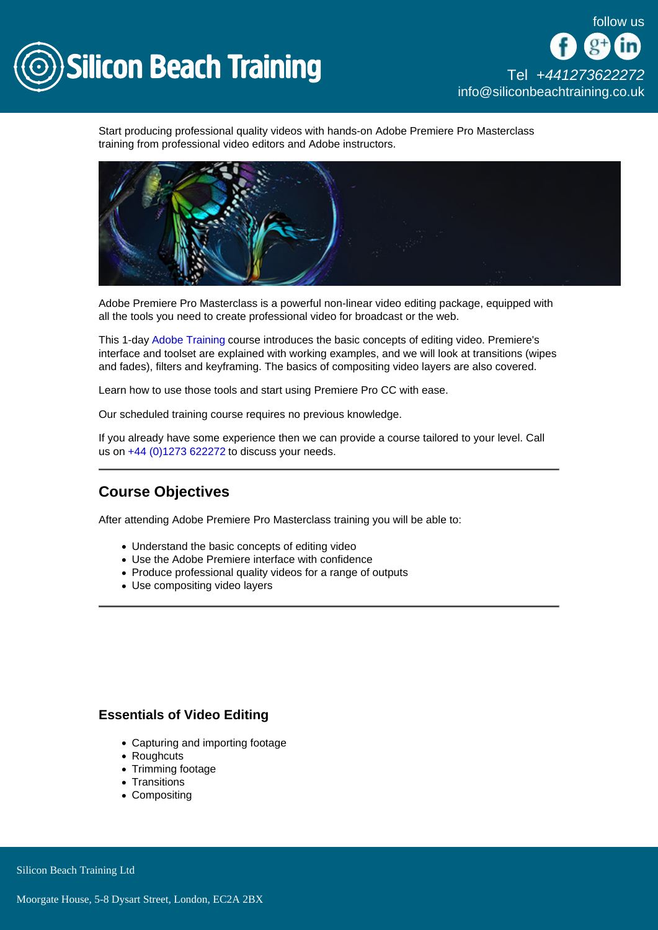

Start producing professional quality videos with hands-on Adobe Premiere Pro Masterclass training from professional video editors and Adobe instructors.

Adobe Premiere Pro Masterclass is a powerful non-linear video editing package, equipped with all the tools you need to create professional video for broadcast or the web.

This 1-day [Adobe Training](/adobe-training) course introduces the basic concepts of editing video. Premiere's interface and toolset are explained with working examples, and we will look at transitions (wipes and fades), filters and keyframing. The basics of compositing video layers are also covered.

Learn how to use those tools and start using Premiere Pro CC with ease.

Our scheduled training course requires no previous knowledge.

If you already have some experience then we can provide a course tailored to your level. Call us on [+44 \(0\)1273 622272](tel:441273622272) to discuss your needs.

# Course Objectives

After attending Adobe Premiere Pro Masterclass training you will be able to:

- Understand the basic concepts of editing video
- Use the Adobe Premiere interface with confidence
- Produce professional quality videos for a range of outputs
- Use compositing video layers

#### Essentials of Video Editing

- Capturing and importing footage
- Roughcuts
- Trimming footage
- Transitions
- Compositing

Silicon Beach Training Ltd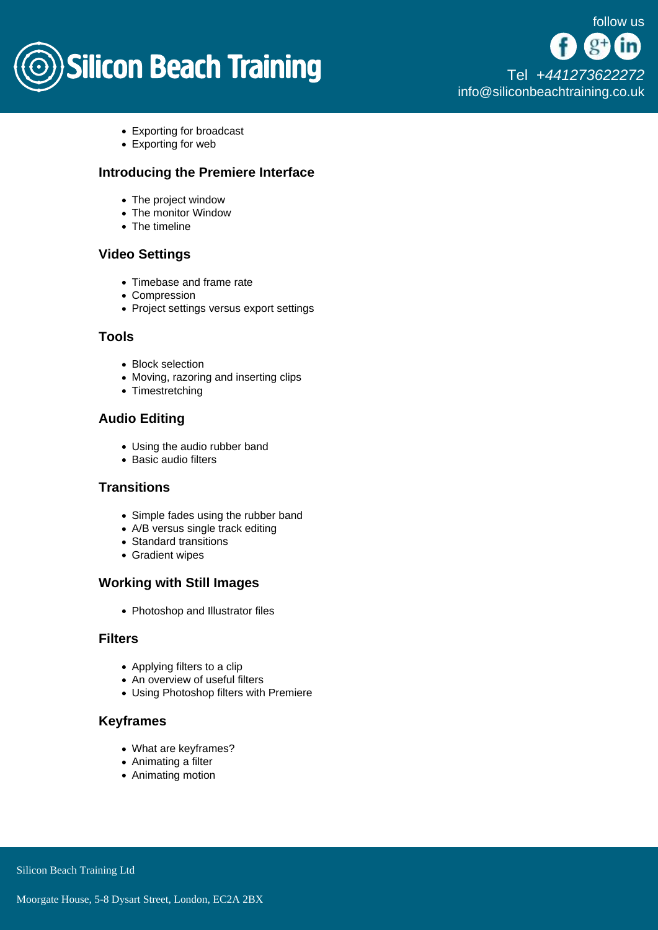

- Exporting for broadcast
- Exporting for web

# Introducing the Premiere Interface

- The project window
- The monitor Window
- The timeline

# Video Settings

- Timebase and frame rate
- Compression
- Project settings versus export settings

## Tools

- Block selection
- Moving, razoring and inserting clips
- Timestretching

# Audio Editing

- Using the audio rubber band
- Basic audio filters

#### **Transitions**

- Simple fades using the rubber band
- A/B versus single track editing
- Standard transitions
- Gradient wipes

#### Working with Still Images

• Photoshop and Illustrator files

## Filters

- Applying filters to a clip
- An overview of useful filters
- Using Photoshop filters with Premiere

# Keyframes

- What are keyframes?
- Animating a filter
- Animating motion